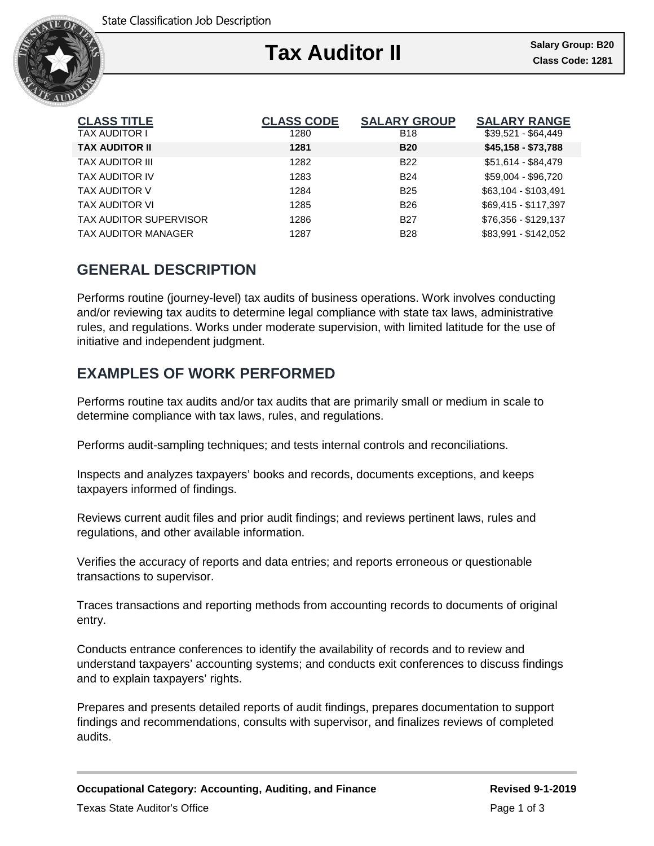

| <b>CLASS TITLE</b>            | <b>CLASS CODE</b> | <b>SALARY GROUP</b> | <b>SALARY RANGE</b>  |
|-------------------------------|-------------------|---------------------|----------------------|
| TAX AUDITOR I                 | 1280              | <b>B18</b>          | $$39,521 - $64,449$  |
| <b>TAX AUDITOR II</b>         | 1281              | <b>B20</b>          | \$45,158 - \$73,788  |
| <b>TAX AUDITOR III</b>        | 1282              | <b>B22</b>          | \$51,614 - \$84,479  |
| <b>TAX AUDITOR IV</b>         | 1283              | <b>B24</b>          | \$59,004 - \$96,720  |
| TAX AUDITOR V                 | 1284              | <b>B25</b>          | \$63,104 - \$103,491 |
| TAX AUDITOR VI                | 1285              | <b>B26</b>          | \$69,415 - \$117,397 |
| <b>TAX AUDITOR SUPERVISOR</b> | 1286              | <b>B27</b>          | \$76,356 - \$129,137 |
| <b>TAX AUDITOR MANAGER</b>    | 1287              | <b>B28</b>          | \$83,991 - \$142,052 |

# **GENERAL DESCRIPTION**

Performs routine (journey-level) tax audits of business operations. Work involves conducting and/or reviewing tax audits to determine legal compliance with state tax laws, administrative rules, and regulations. Works under moderate supervision, with limited latitude for the use of initiative and independent judgment.

## **EXAMPLES OF WORK PERFORMED**

Performs routine tax audits and/or tax audits that are primarily small or medium in scale to determine compliance with tax laws, rules, and regulations.

Performs audit-sampling techniques; and tests internal controls and reconciliations.

Inspects and analyzes taxpayers' books and records, documents exceptions, and keeps taxpayers informed of findings.

Reviews current audit files and prior audit findings; and reviews pertinent laws, rules and regulations, and other available information.

Verifies the accuracy of reports and data entries; and reports erroneous or questionable transactions to supervisor.

Traces transactions and reporting methods from accounting records to documents of original entry.

Conducts entrance conferences to identify the availability of records and to review and understand taxpayers' accounting systems; and conducts exit conferences to discuss findings and to explain taxpayers' rights.

Prepares and presents detailed reports of audit findings, prepares documentation to support findings and recommendations, consults with supervisor, and finalizes reviews of completed audits.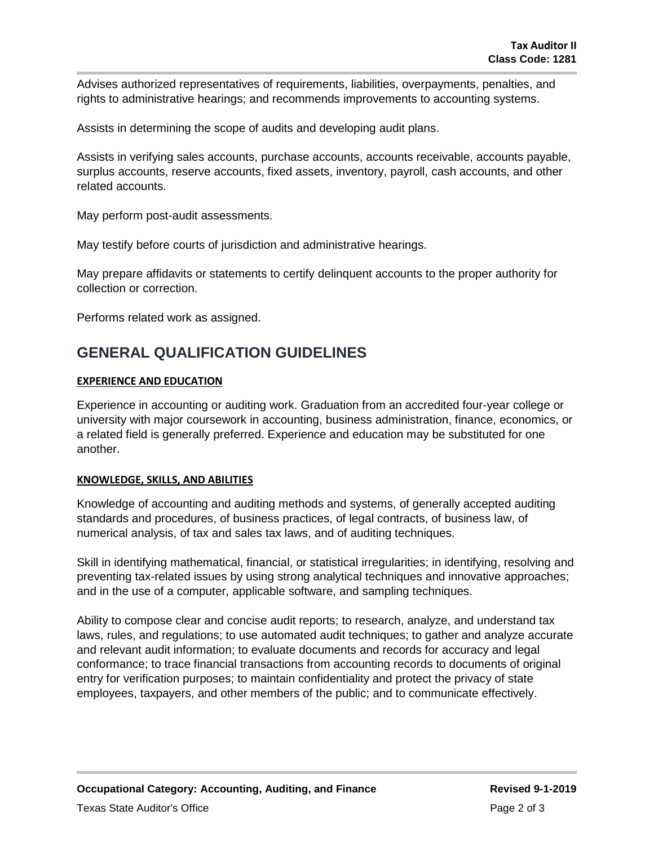Advises authorized representatives of requirements, liabilities, overpayments, penalties, and rights to administrative hearings; and recommends improvements to accounting systems.

Assists in determining the scope of audits and developing audit plans.

Assists in verifying sales accounts, purchase accounts, accounts receivable, accounts payable, surplus accounts, reserve accounts, fixed assets, inventory, payroll, cash accounts, and other related accounts.

May perform post-audit assessments.

May testify before courts of jurisdiction and administrative hearings.

May prepare affidavits or statements to certify delinquent accounts to the proper authority for collection or correction.

Performs related work as assigned.

### **GENERAL QUALIFICATION GUIDELINES**

### **EXPERIENCE AND EDUCATION**

Experience in accounting or auditing work. Graduation from an accredited four-year college or university with major coursework in accounting, business administration, finance, economics, or a related field is generally preferred. Experience and education may be substituted for one another.

#### **KNOWLEDGE, SKILLS, AND ABILITIES**

Knowledge of accounting and auditing methods and systems, of generally accepted auditing standards and procedures, of business practices, of legal contracts, of business law, of numerical analysis, of tax and sales tax laws, and of auditing techniques.

Skill in identifying mathematical, financial, or statistical irregularities; in identifying, resolving and preventing tax-related issues by using strong analytical techniques and innovative approaches; and in the use of a computer, applicable software, and sampling techniques.

Ability to compose clear and concise audit reports; to research, analyze, and understand tax laws, rules, and regulations; to use automated audit techniques; to gather and analyze accurate and relevant audit information; to evaluate documents and records for accuracy and legal conformance; to trace financial transactions from accounting records to documents of original entry for verification purposes; to maintain confidentiality and protect the privacy of state employees, taxpayers, and other members of the public; and to communicate effectively.